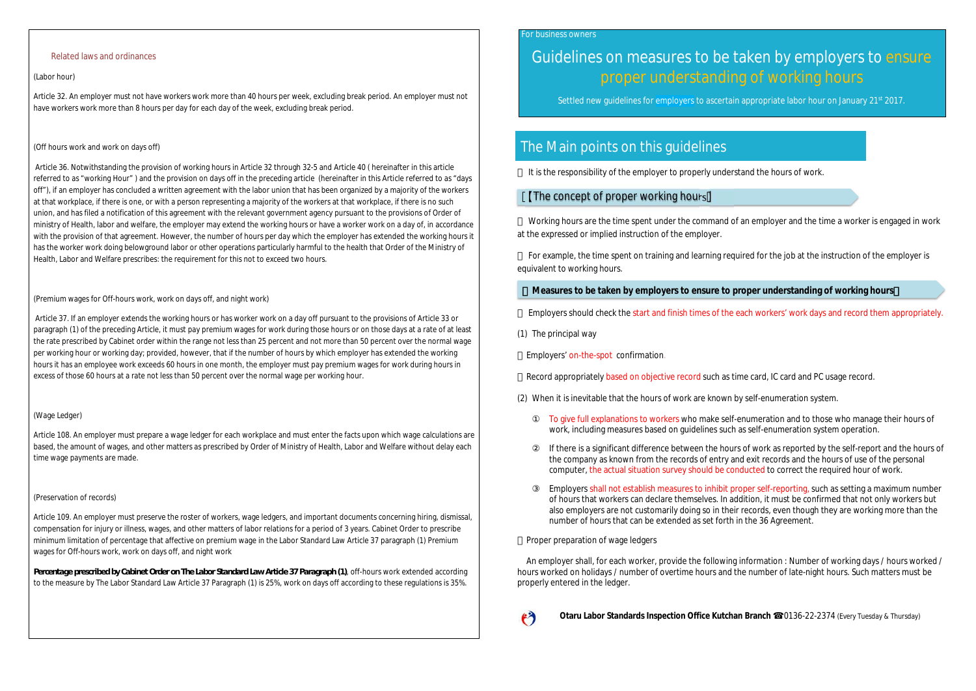#### Related laws and ordinances

#### (Labor hour)

Article 32. An employer must not have workers work more than 40 hours per week, excluding break period. An employer must not have workers work more than 8 hours per day for each day of the week, excluding break period.

#### (Off hours work and work on days off)

Article 36. Notwithstanding the provision of working hours in Article 32 through 32-5 and Article 40 ( hereinafter in this article referred to as "working Hour" ) and the provision on days off in the preceding article (hereinafter in this Article referred to as "days off"), if an employer has concluded a written agreement with the labor union that has been organized by a majority of the workers at that workplace, if there is one, or with a person representing a majority of the workers at that workplace, if there is no such union, and has filed a notification of this agreement with the relevant government agency pursuant to the provisions of Order of ministry of Health, labor and welfare, the employer may extend the working hours or have a worker work on a day of, in accordance with the provision of that agreement. However, the number of hours per day which the employer has extended the working hours it has the worker work doing belowground labor or other operations particularly harmful to the health that Order of the Ministry of Health, Labor and Welfare prescribes: the requirement for this not to exceed two hours.

#### (Premium wages for Off-hours work, work on days off, and night work)

Article 37. If an employer extends the working hours or has worker work on a day off pursuant to the provisions of Article 33 or paragraph (1) of the preceding Article, it must pay premium wages for work during those hours or on those days at a rate of at least the rate prescribed by Cabinet order within the range not less than 25 percent and not more than 50 percent over the normal wage per working hour or working day; provided, however, that if the number of hours by which employer has extended the working hours it has an employee work exceeds 60 hours in one month, the employer must pay premium wages for work during hours in excess of those 60 hours at a rate not less than 50 percent over the normal wage per working hour.

#### (Wage Ledger)

Article 108. An employer must prepare a wage ledger for each workplace and must enter the facts upon which wage calculations are based, the amount of wages, and other matters as prescribed by Order of Ministry of Health, Labor and Welfare without delay each time wage payments are made.

#### (Preservation of records)

Article 109. An employer must preserve the roster of workers, wage ledgers, and important documents concerning hiring, dismissal, compensation for injury or illness, wages, and other matters of labor relations for a period of 3 years. Cabinet Order to prescribe minimum limitation of percentage that affective on premium wage in the Labor Standard Law Article 37 paragraph (1) Premium wages for Off-hours work, work on days off, and night work

*Percentage prescribed by Cabinet Order on The Labor Standard Law Article 37 Paragraph (1)*, off-hours work extended according to the measure by The Labor Standard Law Article 37 Paragraph (1) is 25%, work on days off according to these regulations is 35%.

#### For business owners

# Guidelines on measures to be taken by employers to ensure proper understanding of working hours

Settled new guidelines for employers to ascertain appropriate labor hour on January 21<sup>st</sup> 2017.

# The Main points on this guidelines

It is the responsibility of the employer to properly understand the hours of work.

## The concept of proper working hours

Working hours are the time spent under the command of an employer and the time a worker is engaged in work at the expressed or implied instruction of the employer.

For example, the time spent on training and learning required for the job at the instruction of the employer is equivalent to working hours.

#### Measures to be taken by employers to ensure to proper understanding of working hours

Employers should check the start and finish times of the each workers' work days and record them appropriately.

(1) The principal way

Employers' on-the-spot confirmation.

Record appropriately based on objective record such as time card, IC card and PC usage record.

(2) When it is inevitable that the hours of work are known by self-enumeration system.

To give full explanations to workers who make self-enumeration and to those who manage their hours of work, including measures based on guidelines such as self-enumeration system operation.

If there is a significant difference between the hours of work as reported by the self-report and the hours of the company as known from the records of entry and exit records and the hours of use of the personal computer, the actual situation survey should be conducted to correct the required hour of work.

Employers shall not establish measures to inhibit proper self-reporting, such as setting a maximum number of hours that workers can declare themselves. In addition, it must be confirmed that not only workers but also employers are not customarily doing so in their records, even though they are working more than the number of hours that can be extended as set forth in the 36 Agreement.

Proper preparation of wage ledgers

An employer shall, for each worker, provide the following information : Number of working days / hours worked / hours worked on holidays / number of overtime hours and the number of late-night hours. Such matters must be properly entered in the ledger.



**Otaru Labor Standards Inspection Office Kutchan Branch** 0136-22-2374 (Every Tuesday & Thursday)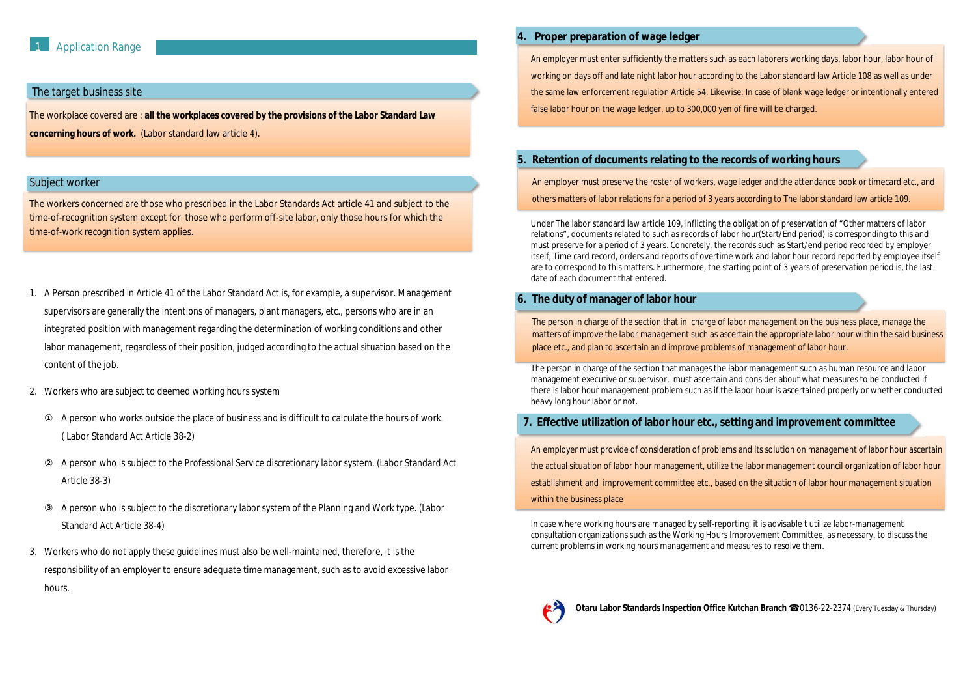#### The target business site

The workplace covered are : **all the workplaces covered by the provisions of the Labor Standard Law concerning hours of work.** (Labor standard law article 4).

#### Subject worker

The workers concerned are those who prescribed in the Labor Standards Act article 41 and subject to the time-of-recognition system except for those who perform off-site labor, only those hours for which the time-of-work recognition system applies.

- 1. A Person prescribed in Article 41 of the Labor Standard Act is, for example, a supervisor. Management supervisors are generally the intentions of managers, plant managers, etc., persons who are in an integrated position with management regarding the determination of working conditions and other labor management, regardless of their position, judged according to the actual situation based on the content of the job.
- 2. Workers who are subject to deemed working hours system

A person who works outside the place of business and is difficult to calculate the hours of work. ( Labor Standard Act Article 38-2)

A person who is subject to the Professional Service discretionary labor system. (Labor Standard Act Article 38-3)

A person who is subject to the discretionary labor system of the Planning and Work type. (Labor Standard Act Article 38-4)

3. Workers who do not apply these guidelines must also be well-maintained, therefore, it is the responsibility of an employer to ensure adequate time management, such as to avoid excessive labor hours.

## **4. Proper preparation of wage ledger**

An employer must enter sufficiently the matters such as each laborers working days, labor hour, labor hour of working on days off and late night labor hour according to the Labor standard law Article 108 as well as under the same law enforcement regulation Article 54. Likewise, In case of blank wage ledger or intentionally entered false labor hour on the wage ledger, up to 300,000 yen of fine will be charged.

# **5. Retention of documents relating to the records of working hours**

An employer must preserve the roster of workers, wage ledger and the attendance book or timecard etc., and others matters of labor relations for a period of 3 years according to The labor standard law article 109.

Under The labor standard law article 109, inflicting the obligation of preservation of "Other matters of labor relations", documents related to such as records of labor hour(Start/End period) is corresponding to this and must preserve for a period of 3 years. Concretely, the records such as Start/end period recorded by employer itself, Time card record, orders and reports of overtime work and labor hour record reported by employee itself are to correspond to this matters. Furthermore, the starting point of 3 years of preservation period is, the last date of each document that entered.

### **6. The duty of manager of labor hour**

The person in charge of the section that in charge of labor management on the business place, manage the matters of improve the labor management such as ascertain the appropriate labor hour within the said business place etc., and plan to ascertain an d improve problems of management of labor hour.

The person in charge of the section that manages the labor management such as human resource and labor management executive or supervisor, must ascertain and consider about what measures to be conducted if there is labor hour management problem such as if the labor hour is ascertained properly or whether conducted heavy long hour labor or not.

# **7. Effective utilization of labor hour etc., setting and improvement committee**

An employer must provide of consideration of problems and its solution on management of labor hour ascertain the actual situation of labor hour management, utilize the labor management council organization of labor hour establishment and improvement committee etc., based on the situation of labor hour management situation within the business place

In case where working hours are managed by self-reporting, it is advisable t utilize labor-management consultation organizations such as the Working Hours Improvement Committee, as necessary, to discuss the current problems in working hours management and measures to resolve them.



**Otaru Labor Standards Inspection Office Kutchan Branch** 0136-22-2374 (Every Tuesday & Thursday)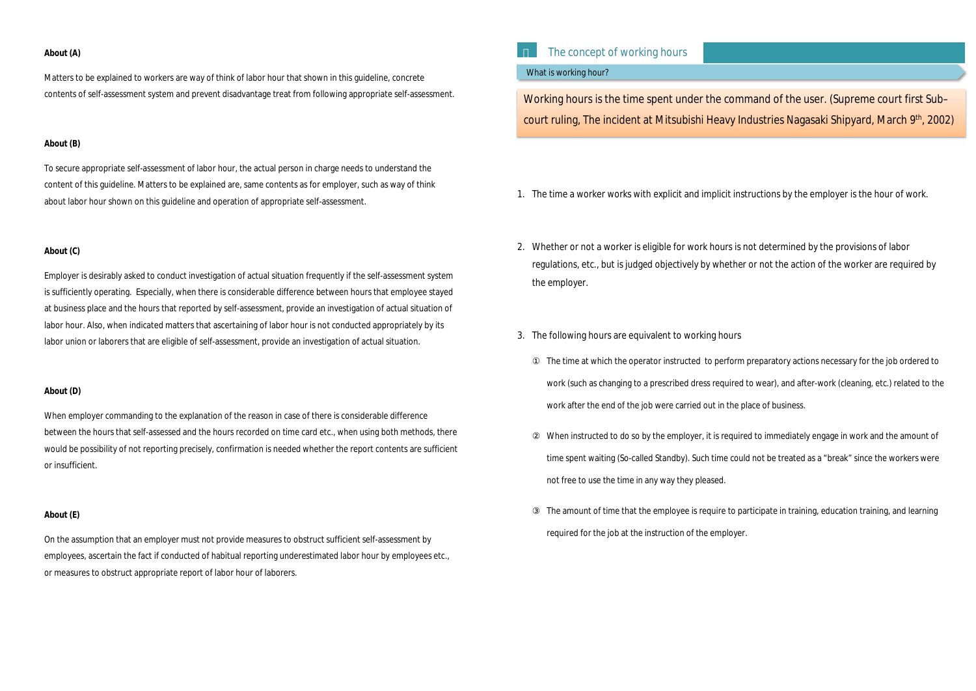#### **About (A)**

Matters to be explained to workers are way of think of labor hour that shown in this guideline, concrete contents of self-assessment system and prevent disadvantage treat from following appropriate self-assessment.

#### **About (B)**

To secure appropriate self-assessment of labor hour, the actual person in charge needs to understand the content of this guideline. Matters to be explained are, same contents as for employer, such as way of think about labor hour shown on this guideline and operation of appropriate self-assessment.

#### **About (C)**

Employer is desirably asked to conduct investigation of actual situation frequently if the self-assessment system is sufficiently operating. Especially, when there is considerable difference between hours that employee stayed at business place and the hours that reported by self-assessment, provide an investigation of actual situation of labor hour. Also, when indicated matters that ascertaining of labor hour is not conducted appropriately by its labor union or laborers that are eligible of self-assessment, provide an investigation of actual situation.

Working hours is the time spent under the command of the user. (Supreme court first Sub– court ruling, The incident at Mitsubishi Heavy Industries Nagasaki Shipyard, March 9<sup>th</sup>, 2002)

#### **About (D)**

When employer commanding to the explanation of the reason in case of there is considerable difference between the hours that self-assessed and the hours recorded on time card etc., when using both methods, there would be possibility of not reporting precisely, confirmation is needed whether the report contents are sufficient or insufficient.

#### **About (E)**

On the assumption that an employer must not provide measures to obstruct sufficient self-assessment by employees, ascertain the fact if conducted of habitual reporting underestimated labor hour by employees etc., or measures to obstruct appropriate report of labor hour of laborers.

# The concept of working hours

#### What is working hour?

- 1. The time a worker works with explicit and implicit instructions by the employer is the hour of work.
- 2. Whether or not a worker is eligible for work hours is not determined by the provisions of labor regulations, etc., but is judged objectively by whether or not the action of the worker are required by the employer.
- 3. The following hours are equivalent to working hours

The time at which the operator instructed to perform preparatory actions necessary for the job ordered to work (such as changing to a prescribed dress required to wear), and after-work (cleaning, etc.) related to the work after the end of the job were carried out in the place of business. When instructed to do so by the employer, it is required to immediately engage in work and the amount of time spent waiting (So-called Standby). Such time could not be treated as a "break" since the workers were not free to use the time in any way they pleased. The amount of time that the employee is require to participate in training, education training, and learning required for the job at the instruction of the employer.